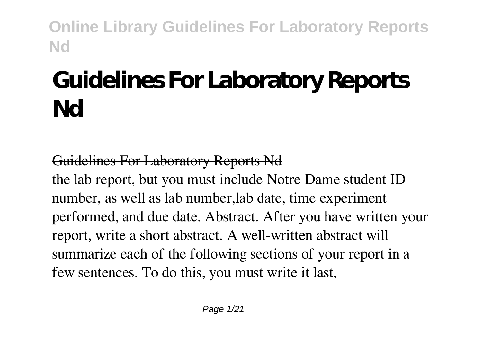# **Guidelines For Laboratory Reports Nd**

#### Guidelines For Laboratory Reports Nd

the lab report, but you must include Notre Dame student ID number, as well as lab number,lab date, time experiment performed, and due date. Abstract. After you have written your report, write a short abstract. A well-written abstract will summarize each of the following sections of your report in a few sentences. To do this, you must write it last,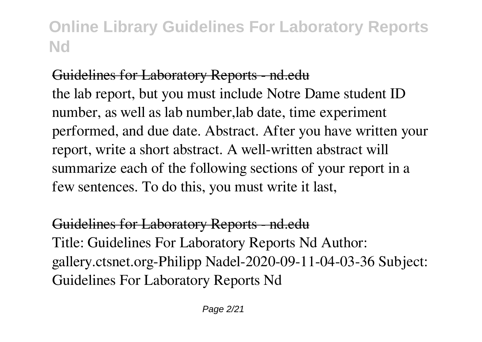## Guidelines for Laboratory Reports - nd.edu

the lab report, but you must include Notre Dame student ID number, as well as lab number,lab date, time experiment performed, and due date. Abstract. After you have written your report, write a short abstract. A well-written abstract will summarize each of the following sections of your report in a few sentences. To do this, you must write it last,

#### Guidelines for Laboratory Reports - nd.edu Title: Guidelines For Laboratory Reports Nd Author: gallery.ctsnet.org-Philipp Nadel-2020-09-11-04-03-36 Subject: Guidelines For Laboratory Reports Nd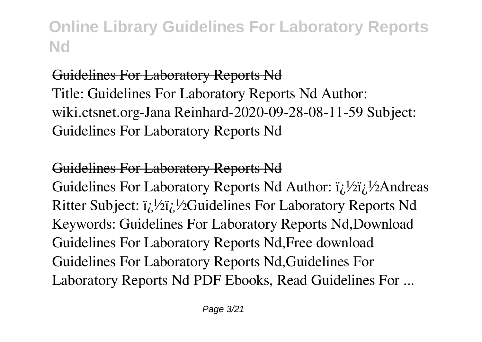#### Guidelines For Laboratory Reports Nd

Title: Guidelines For Laboratory Reports Nd Author: wiki.ctsnet.org-Jana Reinhard-2020-09-28-08-11-59 Subject: Guidelines For Laboratory Reports Nd

#### Guidelines For Laboratory Reports Nd

Guidelines For Laboratory Reports Nd Author:  $i \hbar / 2i \hbar / 2$ Andreas Ritter Subject:  $i_l$  ½ $i_l$  ½Guidelines For Laboratory Reports Nd Keywords: Guidelines For Laboratory Reports Nd,Download Guidelines For Laboratory Reports Nd,Free download Guidelines For Laboratory Reports Nd,Guidelines For Laboratory Reports Nd PDF Ebooks, Read Guidelines For ...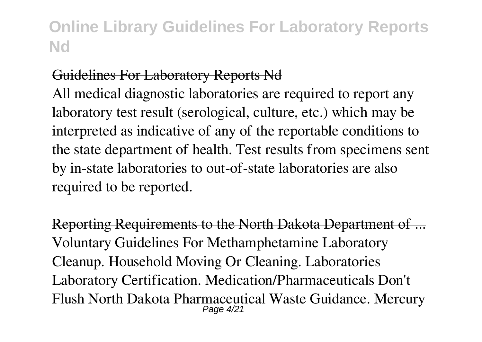#### Guidelines For Laboratory Reports Nd

All medical diagnostic laboratories are required to report any laboratory test result (serological, culture, etc.) which may be interpreted as indicative of any of the reportable conditions to the state department of health. Test results from specimens sent by in-state laboratories to out-of-state laboratories are also required to be reported.

Reporting Requirements to the North Dakota Department of ... Voluntary Guidelines For Methamphetamine Laboratory Cleanup. Household Moving Or Cleaning. Laboratories Laboratory Certification. Medication/Pharmaceuticals Don't Flush North Dakota Pharmaceutical Waste Guidance. Mercury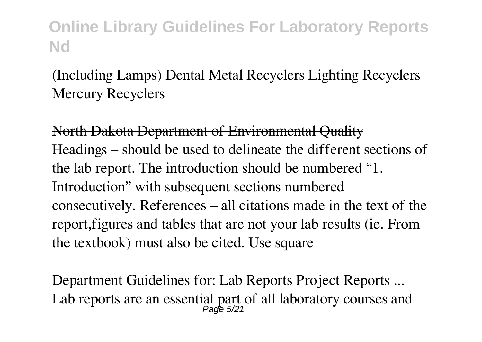#### (Including Lamps) Dental Metal Recyclers Lighting Recyclers Mercury Recyclers

North Dakota Department of Environmental Quality Headings – should be used to delineate the different sections of the lab report. The introduction should be numbered "1. Introduction" with subsequent sections numbered consecutively. References – all citations made in the text of the report,figures and tables that are not your lab results (ie. From the textbook) must also be cited. Use square

Department Guidelines for: Lab Reports Project Reports ... Lab reports are an essential part of all laboratory courses and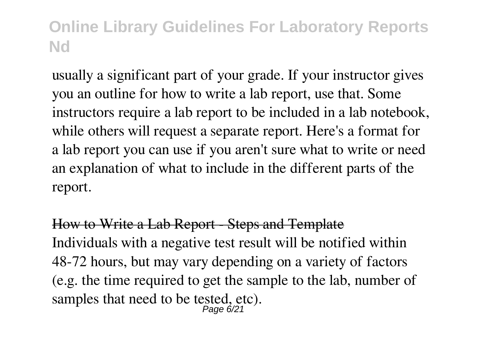usually a significant part of your grade. If your instructor gives you an outline for how to write a lab report, use that. Some instructors require a lab report to be included in a lab notebook, while others will request a separate report. Here's a format for a lab report you can use if you aren't sure what to write or need an explanation of what to include in the different parts of the report.

How to Write a Lab Report - Steps and Template Individuals with a negative test result will be notified within 48-72 hours, but may vary depending on a variety of factors (e.g. the time required to get the sample to the lab, number of samples that need to be tested, etc).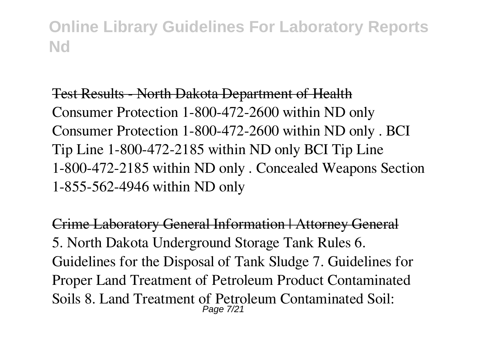Test Results - North Dakota Department of Health Consumer Protection 1-800-472-2600 within ND only Consumer Protection 1-800-472-2600 within ND only . BCI Tip Line 1-800-472-2185 within ND only BCI Tip Line 1-800-472-2185 within ND only . Concealed Weapons Section 1-855-562-4946 within ND only

Crime Laboratory General Information | Attorney General 5. North Dakota Underground Storage Tank Rules 6. Guidelines for the Disposal of Tank Sludge 7. Guidelines for Proper Land Treatment of Petroleum Product Contaminated Soils 8. Land Treatment of Petroleum Contaminated Soil: Page 7/21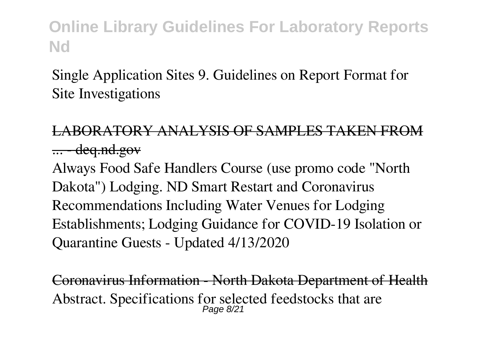Single Application Sites 9. Guidelines on Report Format for Site Investigations

LABORATORY ANALYSIS OF SAMPLES TAKEN FROM  $\ldots$  - deq.nd.gov

Always Food Safe Handlers Course (use promo code "North Dakota") Lodging. ND Smart Restart and Coronavirus Recommendations Including Water Venues for Lodging Establishments; Lodging Guidance for COVID-19 Isolation or Quarantine Guests - Updated 4/13/2020

Coronavirus Information - North Dakota Department of Health Abstract. Specifications for selected feedstocks that are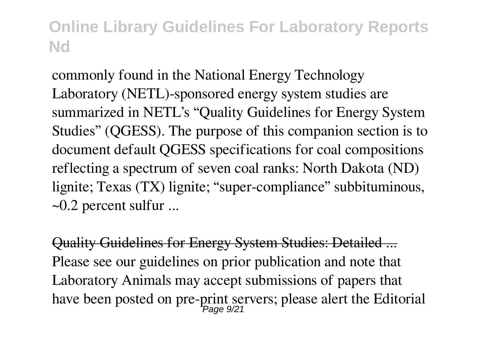commonly found in the National Energy Technology Laboratory (NETL)-sponsored energy system studies are summarized in NETL's "Quality Guidelines for Energy System Studies" (QGESS). The purpose of this companion section is to document default QGESS specifications for coal compositions reflecting a spectrum of seven coal ranks: North Dakota (ND) lignite; Texas (TX) lignite; "super-compliance" subbituminous,  $\sim$ 0.2 percent sulfur ...

Quality Guidelines for Energy System Studies: Detailed ... Please see our guidelines on prior publication and note that Laboratory Animals may accept submissions of papers that have been posted on pre-print servers; please alert the Editorial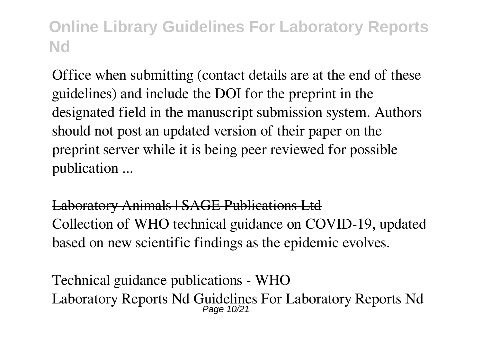Office when submitting (contact details are at the end of these guidelines) and include the DOI for the preprint in the designated field in the manuscript submission system. Authors should not post an updated version of their paper on the preprint server while it is being peer reviewed for possible publication ...

Laboratory Animals | SAGE Publications Ltd Collection of WHO technical guidance on COVID-19, updated based on new scientific findings as the epidemic evolves.

Technical guidance publications - WHO Laboratory Reports Nd Guidelines For Laboratory Reports Nd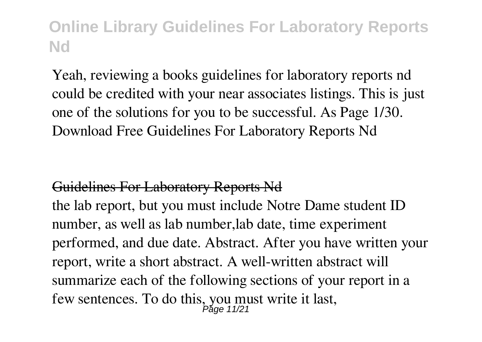Yeah, reviewing a books guidelines for laboratory reports nd could be credited with your near associates listings. This is just one of the solutions for you to be successful. As Page 1/30. Download Free Guidelines For Laboratory Reports Nd

#### Guidelines For Laboratory Reports Nd

the lab report, but you must include Notre Dame student ID number, as well as lab number,lab date, time experiment performed, and due date. Abstract. After you have written your report, write a short abstract. A well-written abstract will summarize each of the following sections of your report in a few sentences. To do this, you must write it last,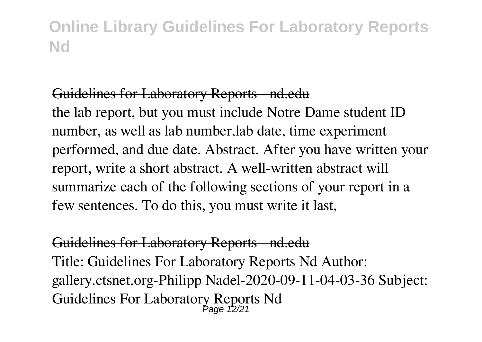#### Guidelines for Laboratory Reports - nd.edu

the lab report, but you must include Notre Dame student ID number, as well as lab number,lab date, time experiment performed, and due date. Abstract. After you have written your report, write a short abstract. A well-written abstract will summarize each of the following sections of your report in a few sentences. To do this, you must write it last,

Guidelines for Laboratory Reports - nd.edu Title: Guidelines For Laboratory Reports Nd Author: gallery.ctsnet.org-Philipp Nadel-2020-09-11-04-03-36 Subject: Guidelines For Laboratory Reports Nd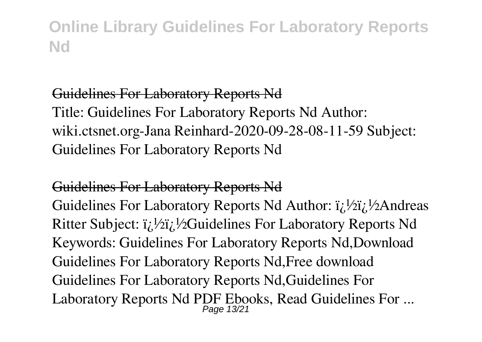#### Guidelines For Laboratory Reports Nd

Title: Guidelines For Laboratory Reports Nd Author: wiki.ctsnet.org-Jana Reinhard-2020-09-28-08-11-59 Subject: Guidelines For Laboratory Reports Nd

#### Guidelines For Laboratory Reports Nd

Guidelines For Laboratory Reports Nd Author:  $i_l$  <sup>1</sup>/2 $i_l$  <sup>1</sup>/2 $A$ ndreas Ritter Subject:  $i/\frac{1}{2}$ ;  $\frac{1}{2}$ Guidelines For Laboratory Reports Nd Keywords: Guidelines For Laboratory Reports Nd,Download Guidelines For Laboratory Reports Nd,Free download Guidelines For Laboratory Reports Nd,Guidelines For Laboratory Reports Nd PDF Ebooks, Read Guidelines For ...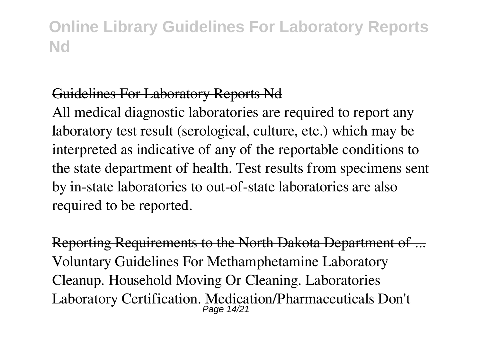#### Guidelines For Laboratory Reports Nd

All medical diagnostic laboratories are required to report any laboratory test result (serological, culture, etc.) which may be interpreted as indicative of any of the reportable conditions to the state department of health. Test results from specimens sent by in-state laboratories to out-of-state laboratories are also required to be reported.

Reporting Requirements to the North Dakota Department of ... Voluntary Guidelines For Methamphetamine Laboratory Cleanup. Household Moving Or Cleaning. Laboratories Laboratory Certification. Medication/Pharmaceuticals Don't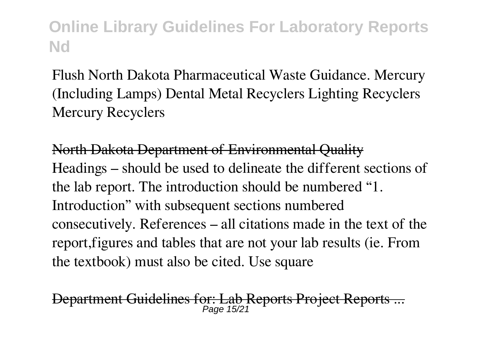Flush North Dakota Pharmaceutical Waste Guidance. Mercury (Including Lamps) Dental Metal Recyclers Lighting Recyclers Mercury Recyclers

North Dakota Department of Environmental Quality Headings – should be used to delineate the different sections of the lab report. The introduction should be numbered "1. Introduction" with subsequent sections numbered consecutively. References – all citations made in the text of the report,figures and tables that are not your lab results (ie. From the textbook) must also be cited. Use square

Department Guidelines for: Lab Reports Project Reports Page 15/21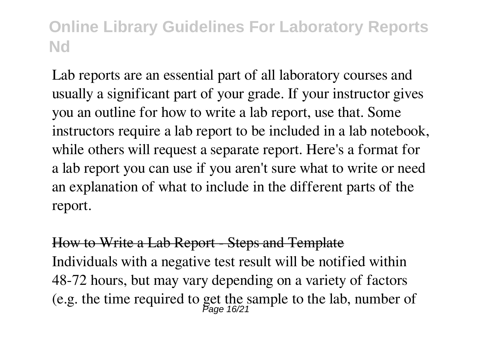Lab reports are an essential part of all laboratory courses and usually a significant part of your grade. If your instructor gives you an outline for how to write a lab report, use that. Some instructors require a lab report to be included in a lab notebook, while others will request a separate report. Here's a format for a lab report you can use if you aren't sure what to write or need an explanation of what to include in the different parts of the report.

How to Write a Lab Report - Steps and Template Individuals with a negative test result will be notified within 48-72 hours, but may vary depending on a variety of factors (e.g. the time required to get the sample to the lab, number of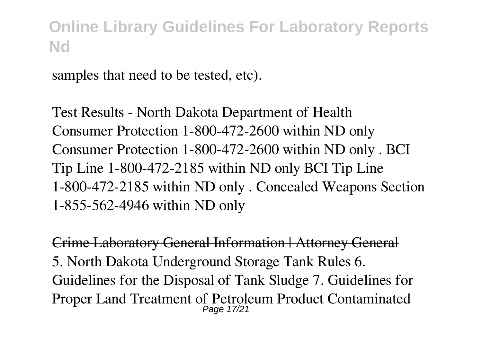samples that need to be tested, etc).

Test Results - North Dakota Department of Health Consumer Protection 1-800-472-2600 within ND only Consumer Protection 1-800-472-2600 within ND only . BCI Tip Line 1-800-472-2185 within ND only BCI Tip Line 1-800-472-2185 within ND only . Concealed Weapons Section 1-855-562-4946 within ND only

Crime Laboratory General Information | Attorney General 5. North Dakota Underground Storage Tank Rules 6. Guidelines for the Disposal of Tank Sludge 7. Guidelines for Proper Land Treatment of Petroleum Product Contaminated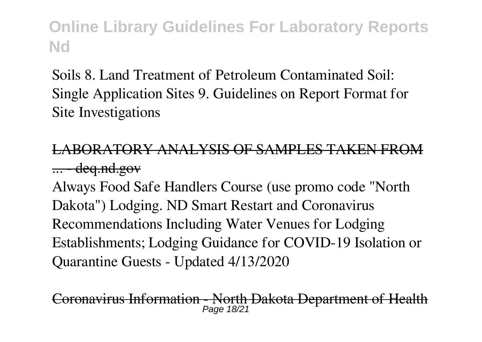Soils 8. Land Treatment of Petroleum Contaminated Soil: Single Application Sites 9. Guidelines on Report Format for Site Investigations

#### LABORATORY ANALYSIS OF SAMPLES TAKEN FR  $\ldots$  - deq.nd.gov

Always Food Safe Handlers Course (use promo code "North Dakota") Lodging. ND Smart Restart and Coronavirus Recommendations Including Water Venues for Lodging Establishments; Lodging Guidance for COVID-19 Isolation or Quarantine Guests - Updated 4/13/2020

Coronavirus Information - North Dakota Department of Health Page 18/2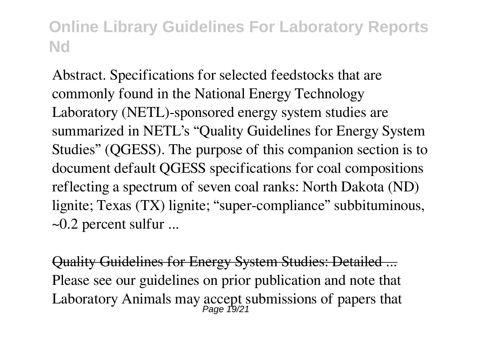Abstract. Specifications for selected feedstocks that are commonly found in the National Energy Technology Laboratory (NETL)-sponsored energy system studies are summarized in NETL's "Quality Guidelines for Energy System Studies" (QGESS). The purpose of this companion section is to document default QGESS specifications for coal compositions reflecting a spectrum of seven coal ranks: North Dakota (ND) lignite; Texas (TX) lignite; "super-compliance" subbituminous,  $\sim$ 0.2 percent sulfur ...

Quality Guidelines for Energy System Studies: Detailed ... Please see our guidelines on prior publication and note that Laboratory Animals may accept submissions of papers that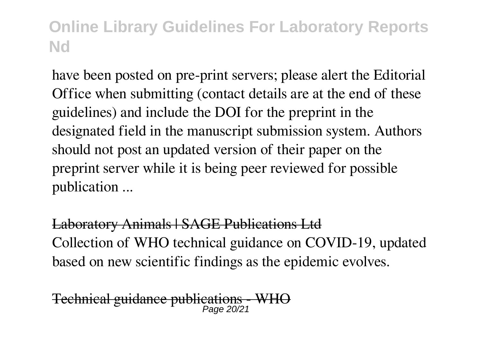have been posted on pre-print servers; please alert the Editorial Office when submitting (contact details are at the end of these guidelines) and include the DOI for the preprint in the designated field in the manuscript submission system. Authors should not post an updated version of their paper on the preprint server while it is being peer reviewed for possible publication ...

Laboratory Animals | SAGE Publications Ltd Collection of WHO technical guidance on COVID-19, updated based on new scientific findings as the epidemic evolves.

Technical guidance publications Page 20/21